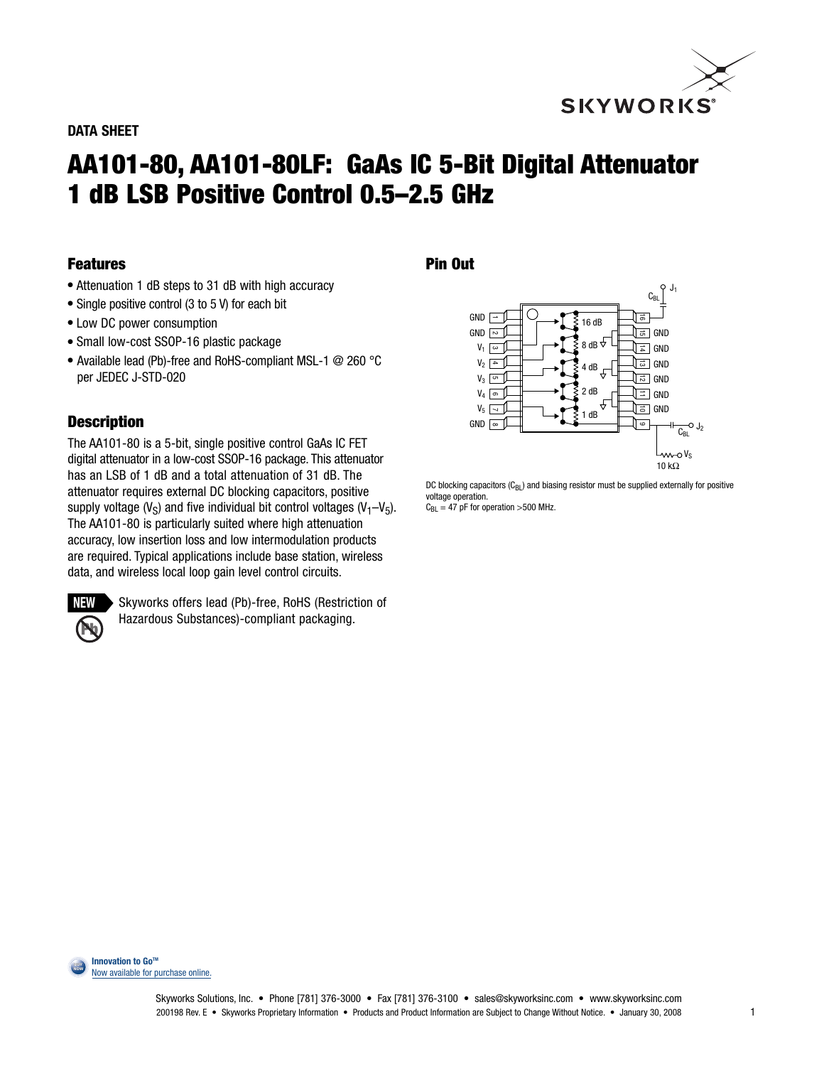

# **AA101-80, AA101-80LF: GaAs IC 5-Bit Digital Attenuator 1 dB LSB Positive Control 0.5–2.5 GHz**

### **Features**

- **●** Attenuation 1 dB steps to 31 dB with high accuracy
- **●** Single positive control (3 to 5 V) for each bit
- **●** Low DC power consumption
- **●** Small low-cost SSOP-16 plastic package
- **●** Available lead (Pb)-free and RoHS-compliant MSL-1 @ 260 °C per JEDEC J-STD-020

## **Description**

The AA101-80 is a 5-bit, single positive control GaAs IC FET digital attenuator in a low-cost SSOP-16 package. This attenuator has an LSB of 1 dB and a total attenuation of 31 dB. The attenuator requires external DC blocking capacitors, positive supply voltage  $(V<sub>S</sub>)$  and five individual bit control voltages  $(V<sub>1</sub>-V<sub>5</sub>)$ . The AA101-80 is particularly suited where high attenuation accuracy, low insertion loss and low intermodulation products are required. Typical applications include base station, wireless data, and wireless local loop gain level control circuits.



Skyworks offers lead (Pb)-free, RoHS (Restriction of Hazardous Substances)-compliant packaging.

#### **Pin Out**



DC blocking capacitors  $(C_{BL})$  and biasing resistor must be supplied externally for positive voltage operation.  $C_{BL} = 47$  pF for operation >500 MHz.

**Innovation to GoTM** Now [available for purchase online.](http://www.cdistore.com/skyworks/) **NOW**

**BUY**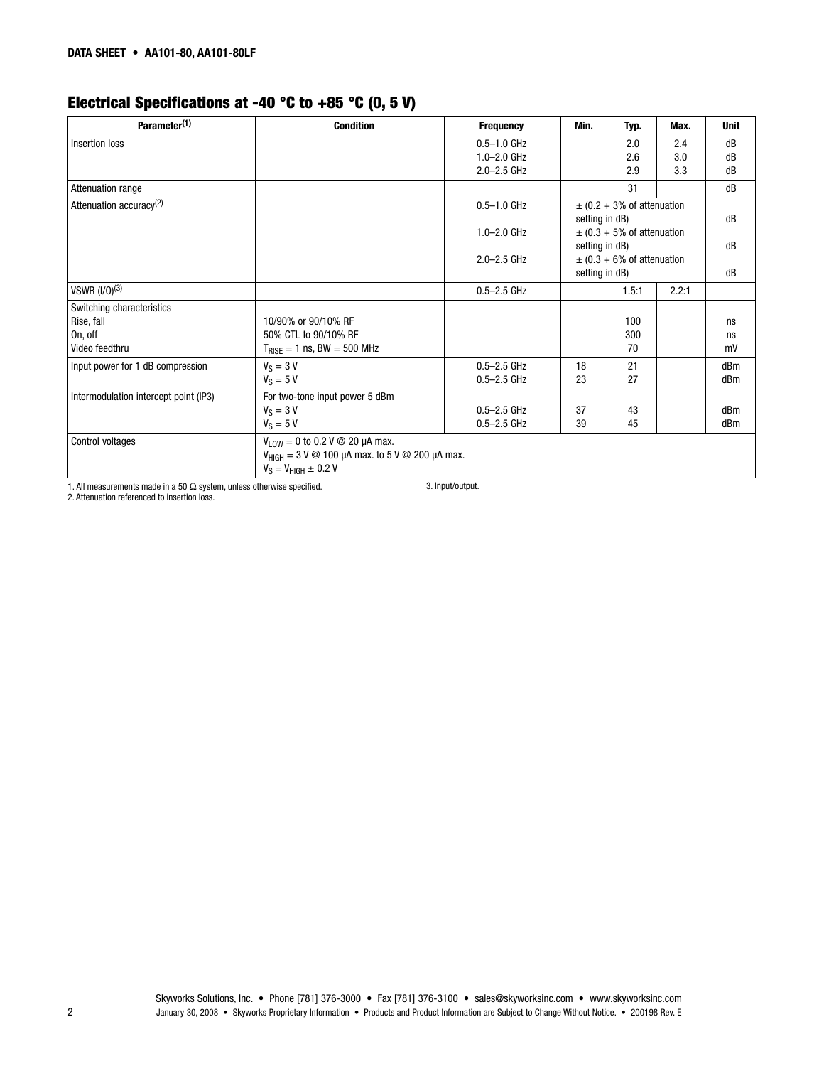# **Electrical Specifications at -40 °C to +85 °C (0, 5 V)**

| Parameter <sup>(1)</sup>              | <b>Condition</b>                                            | <b>Frequency</b> | Min.                                             | Typ.                           | Max.  | <b>Unit</b> |
|---------------------------------------|-------------------------------------------------------------|------------------|--------------------------------------------------|--------------------------------|-------|-------------|
| Insertion loss                        |                                                             | $0.5 - 1.0$ GHz  |                                                  | 2.0                            | 2.4   | dB          |
|                                       |                                                             | $1.0 - 2.0$ GHz  |                                                  | 2.6                            | 3.0   | dB          |
|                                       |                                                             | $2.0 - 2.5$ GHz  |                                                  | 2.9                            | 3.3   | dB          |
| <b>Attenuation range</b>              |                                                             |                  |                                                  | 31                             |       | dB          |
| Attenuation accuracy <sup>(2)</sup>   |                                                             | $0.5 - 1.0$ GHz  |                                                  | $\pm$ (0.2 + 3% of attenuation |       |             |
|                                       |                                                             |                  | setting in dB)                                   |                                |       | dB          |
|                                       |                                                             | $1.0 - 2.0$ GHz  |                                                  | $\pm$ (0.3 + 5% of attenuation |       |             |
|                                       |                                                             |                  | setting in dB)<br>$\pm$ (0.3 + 6% of attenuation |                                | dB    |             |
|                                       |                                                             | $2.0 - 2.5$ GHz  |                                                  |                                |       |             |
|                                       |                                                             |                  | setting in dB)                                   |                                | dB    |             |
| VSWR (I/0) <sup>(3)</sup>             |                                                             | $0.5 - 2.5$ GHz  |                                                  | 1.5:1                          | 2.2:1 |             |
| Switching characteristics             |                                                             |                  |                                                  |                                |       |             |
| Rise, fall                            | 10/90% or 90/10% RF                                         |                  |                                                  | 100                            |       | ns          |
| On, off                               | 50% CTL to 90/10% RF                                        |                  |                                                  | 300                            |       | ns          |
| Video feedthru                        | $T_{\text{RISE}} = 1$ ns, BW = 500 MHz                      |                  |                                                  | 70                             |       | mV          |
| Input power for 1 dB compression      | $V_S = 3 V$                                                 | $0.5 - 2.5$ GHz  | 18                                               | 21                             |       | dBm         |
|                                       | $V_S = 5 V$                                                 | $0.5 - 2.5$ GHz  | 23                                               | 27                             |       | dBm         |
| Intermodulation intercept point (IP3) | For two-tone input power 5 dBm                              |                  |                                                  |                                |       |             |
|                                       | $V_S = 3 V$                                                 | $0.5 - 2.5$ GHz  | 37                                               | 43                             |       | dBm         |
|                                       | $V_S = 5 V$                                                 | $0.5 - 2.5$ GHz  | 39                                               | 45                             |       | dBm         |
| Control voltages                      | $V_{1.0W} = 0$ to 0.2 V @ 20 µA max.                        |                  |                                                  |                                |       |             |
|                                       | $V_{HIGH} = 3 V @ 100 \mu A$ max. to 5 V @ 200 $\mu A$ max. |                  |                                                  |                                |       |             |
|                                       | $V_S = V_{HIGH} \pm 0.2 V$                                  |                  |                                                  |                                |       |             |

1. All measurements made in a 50  $\Omega$  system, unless otherwise specified.

3. Input/output.

2. Attenuation referenced to insertion loss.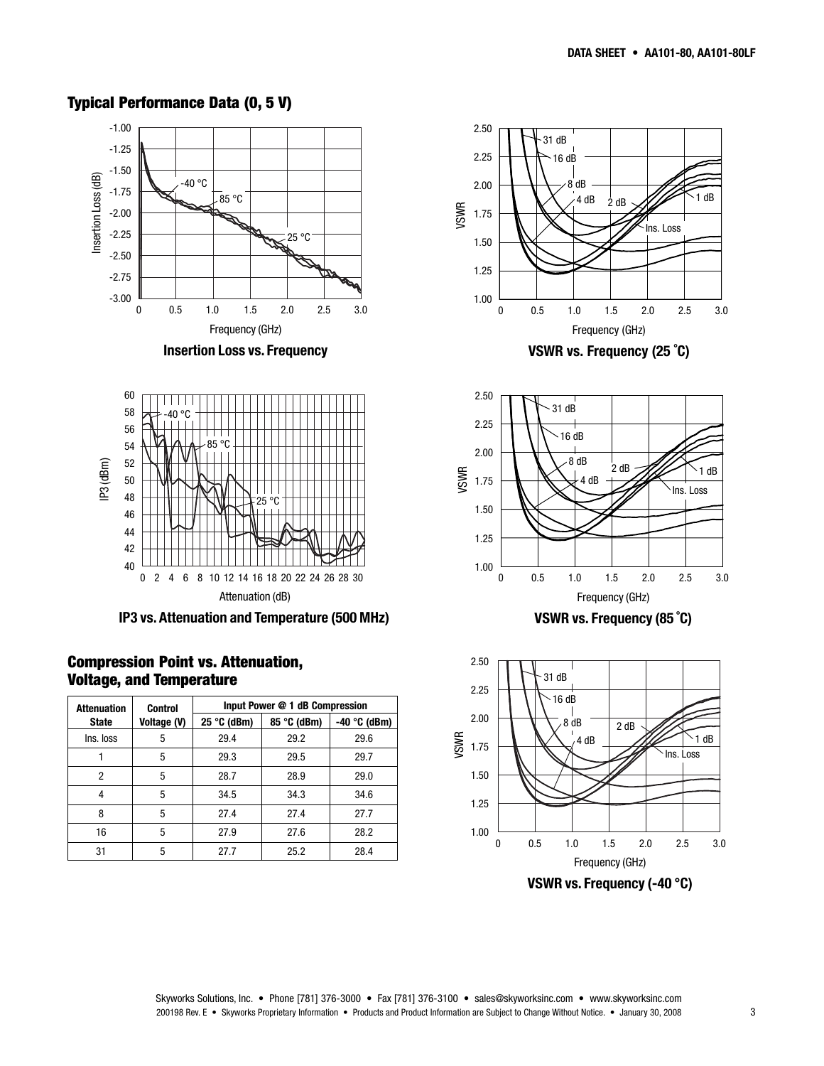#### -1.00 -1.25 -1.50 Insertion Loss (dB) Insertion Loss (dB) -40 °C -1.75  $-85 °C$ -2.00 -2.25 25 °C J. -2.50 -2.75 -3.00 0 0.5 1.0 1.5 2.0 2.5 3.0 Frequency (GHz) **Insertion Loss vs. Frequency** 60 58 -40 °C 56 54 85 °C IP3 (dBm) 52 50 48 25 °C 46 44 42 40 0 2 4 6 8 10 12 14 16 18 20 22 24 26 28 30 Attenuation (dB) **IP3 vs. Attenuation and Temperature (500 MHz)**

#### **Typical Performance Data (0, 5 V)**



**Compression Point vs. Attenuation,**



**VSWR vs. Frequency (25 ˚C)**



**VSWR vs. Frequency (85 ˚C)**

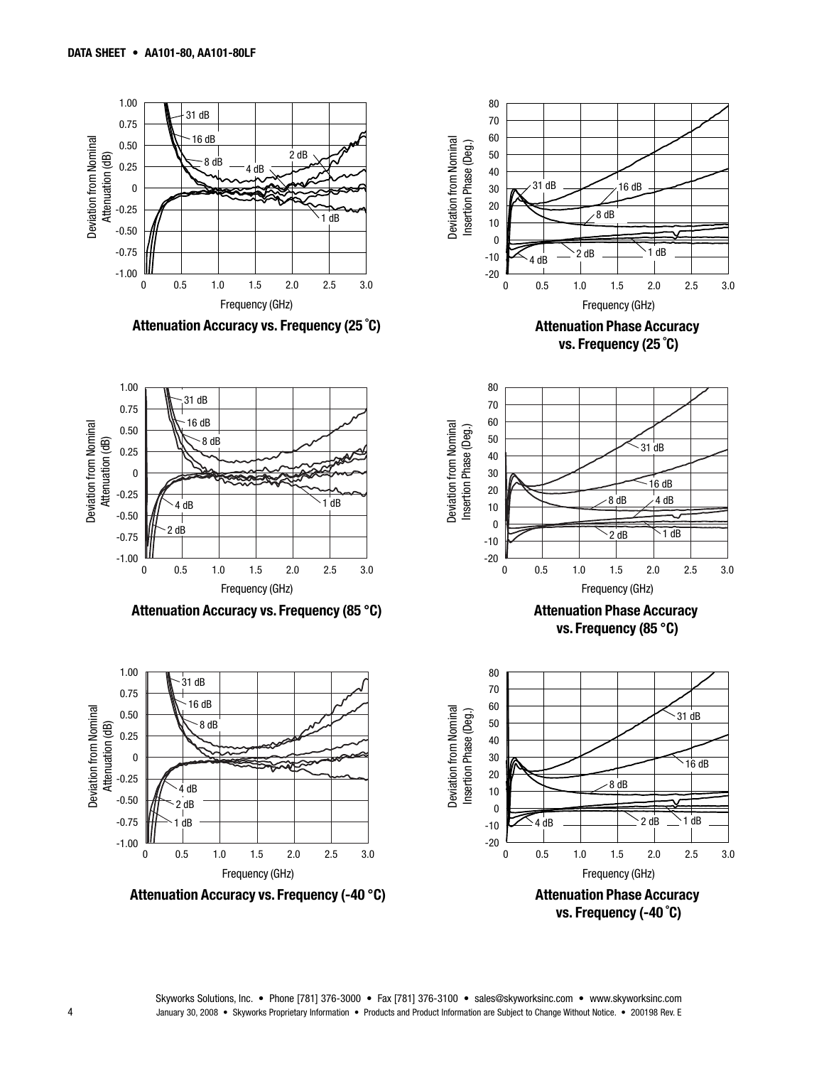

**vs. Frequency (-40 ˚C)**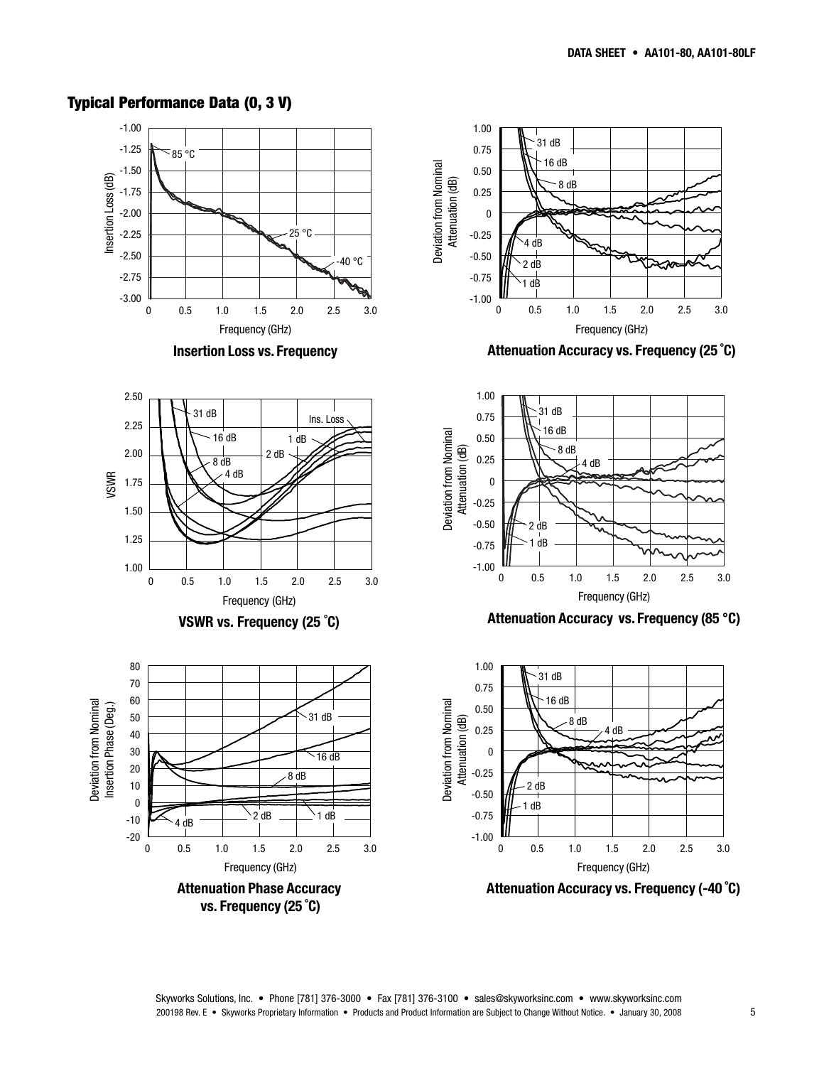#### **Typical Performance Data (0, 3 V)**

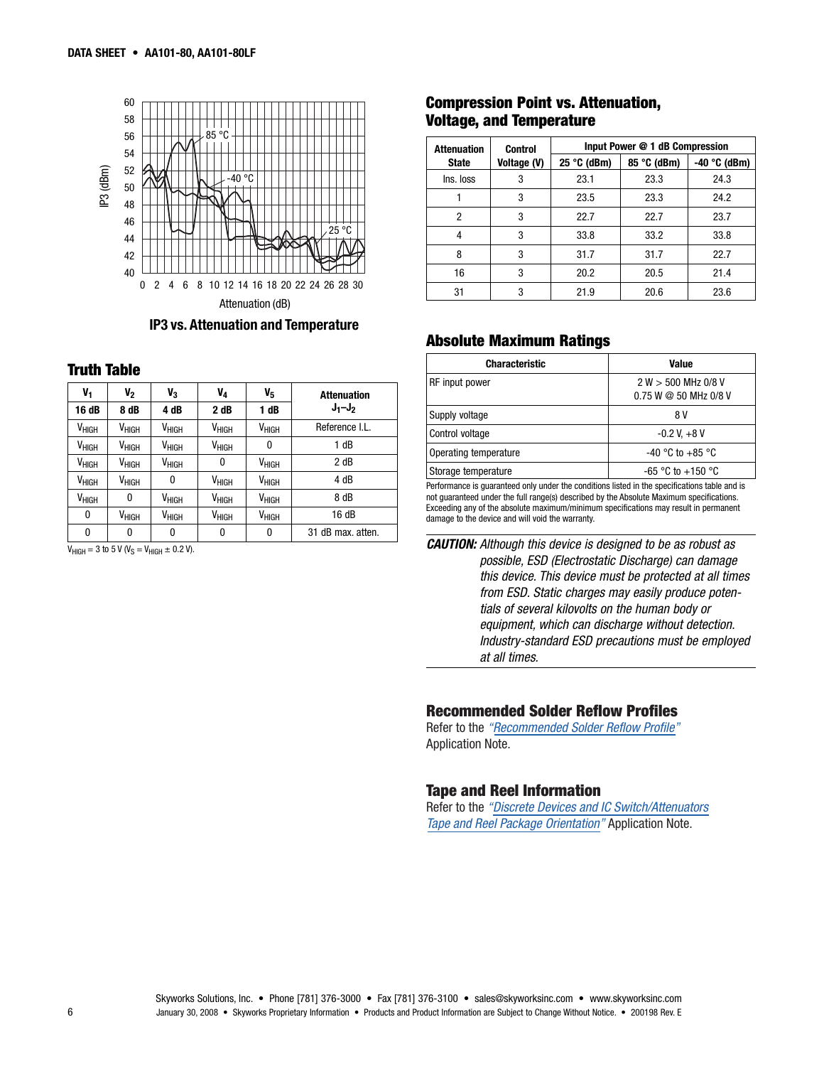

**IP3 vs. Attenuation and Temperature**

| V1                | V2                | V <sub>3</sub>    | V <sub>4</sub>    | V5                | <b>Attenuation</b> |
|-------------------|-------------------|-------------------|-------------------|-------------------|--------------------|
| 16 dB             | 8 dB              | 4 dB              | 2 dB              | 1 dB              | $J_1-J_2$          |
| V <sub>HIGH</sub> | $V_{HIGH}$        | V <sub>HIGH</sub> | V <sub>HIGH</sub> | V <sub>HIGH</sub> | Reference I.L.     |
| V <sub>HIGH</sub> | $V_{HIGH}$        | $V_{HIGH}$        | V <sub>HIGH</sub> | 0                 | 1 dB               |
| V <sub>HIGH</sub> | $V_{HIGH}$        | V <sub>HIGH</sub> | 0                 | $V_{HIGH}$        | 2 dB               |
| V <sub>HIGH</sub> | V <sub>HIGH</sub> | 0                 | $V_{HIGH}$        | V <sub>HIGH</sub> | 4 dB               |
| V <sub>HIGH</sub> | 0                 | $V_{HIGH}$        | V <sub>HIGH</sub> | $V_{HIGH}$        | 8 dB               |
| 0                 | V <sub>HIGH</sub> | $V_{HIGH}$        | $V_{HIGH}$        | V <sub>HIGH</sub> | 16 dB              |
| 0                 | 0                 | 0                 | 0                 | 0                 | 31 dB max, atten.  |

 $V_{HIGH} = 3$  to 5 V ( $V_S = V_{HIGH} \pm 0.2$  V).

#### **Compression Point vs. Attenuation, Voltage, and Temperature**

| <b>Attenuation</b> | <b>Control</b> | Input Power @ 1 dB Compression |             |                |  |
|--------------------|----------------|--------------------------------|-------------|----------------|--|
| <b>State</b>       | Voltage (V)    | $25 °C$ (dBm)                  | 85 °C (dBm) | -40 $°C$ (dBm) |  |
| Ins. loss          | 3              | 23.1                           | 23.3        | 24.3           |  |
|                    | 3              | 23.5                           | 23.3        | 24.2           |  |
| $\overline{c}$     | 3              | 22.7                           | 22.7        | 23.7           |  |
| 4                  | 3              | 33.8                           | 33.2        | 33.8           |  |
| 8                  | 3              | 31.7                           | 31.7        | 22.7           |  |
| 16                 | 3              | 20.2                           | 20.5        | 21.4           |  |
| 31                 | 3              | 21.9                           | 20.6        | 23.6           |  |

#### **Absolute Maximum Ratings**

| <b>Truth Table</b>                     |                                        |                   |                   |                                        |                    | <b>Characteristic</b>                                                                                                                          | Value                                        |  |
|----------------------------------------|----------------------------------------|-------------------|-------------------|----------------------------------------|--------------------|------------------------------------------------------------------------------------------------------------------------------------------------|----------------------------------------------|--|
| v,                                     | V <sub>2</sub>                         | $V_3$             | $V_4$             | $V_{5}$                                | <b>Attenuation</b> | RF input power                                                                                                                                 | 2 W > 500 MHz 0/8 V<br>0.75 W @ 50 MHz 0/8 V |  |
| 16 dB                                  | 8 dB                                   | 4 dB              | 2 dB              | dB                                     | $J_1-J_2$          | Supply voltage                                                                                                                                 | 8 V                                          |  |
| V <sub>HIGH</sub>                      | V <sub>HIGH</sub>                      | V <sub>HIGH</sub> | V <sub>HIGH</sub> | V <sub>HIGH</sub>                      | Reference I.L.     | Control voltage                                                                                                                                | $-0.2$ V, $+8$ V                             |  |
| V <sub>HIGH</sub>                      | V <sub>HIGH</sub>                      | V <sub>HIGH</sub> | $V_{HIGH}$        |                                        | dB                 |                                                                                                                                                |                                              |  |
|                                        |                                        |                   |                   |                                        | 2 dB               |                                                                                                                                                |                                              |  |
|                                        |                                        |                   |                   |                                        |                    |                                                                                                                                                |                                              |  |
| V <sub>HIGH</sub><br>V <sub>HIGH</sub> | V <sub>HIGH</sub><br>V <sub>нісн</sub> | V <sub>HIGH</sub> | V <sub>HIGH</sub> | V <sub>HIGH</sub><br>V <sub>HIGH</sub> | 4 dB               | Operating temperature<br>Storage temperature<br>Daufannanaan ta'umanaan aan ambamuun dan dan dibinaa Rabad ta'daa amaalfinadinaa babba ama ta' | -40 °C to +85 °C<br>$-65$ °C to $+150$ °C    |  |

Performance is guaranteed only under the conditions listed in the specifications table and is not guaranteed under the full range(s) described by the Absolute Maximum specifications. Exceeding any of the absolute maximum/minimum specifications may result in permanent damage to the device and will void the warranty.

*CAUTION: Although this device is designed to be as robust as possible, ESD (Electrostatic Discharge) can damage this device. This device must be protected at all times from ESD. Static charges may easily produce potentials of several kilovolts on the human body or equipment, which can discharge without detection. Industry-standard ESD precautions must be employed at all times.*

#### **[Recommended](http://www.skyworksinc.com/products_display_item.asp?did=2071 ) Solder Reflow Profiles**

Refer to the *"Recommended Solder Reflow Profile"* Application Note.

### **Tape and [Reel Information](http://www.skyworksinc.com/products_display_item.asp?did=2122 )**

Refer to the *"Discrete Devices and IC Switch/Attenuators Tape and Reel Package Orientation"* Application Note.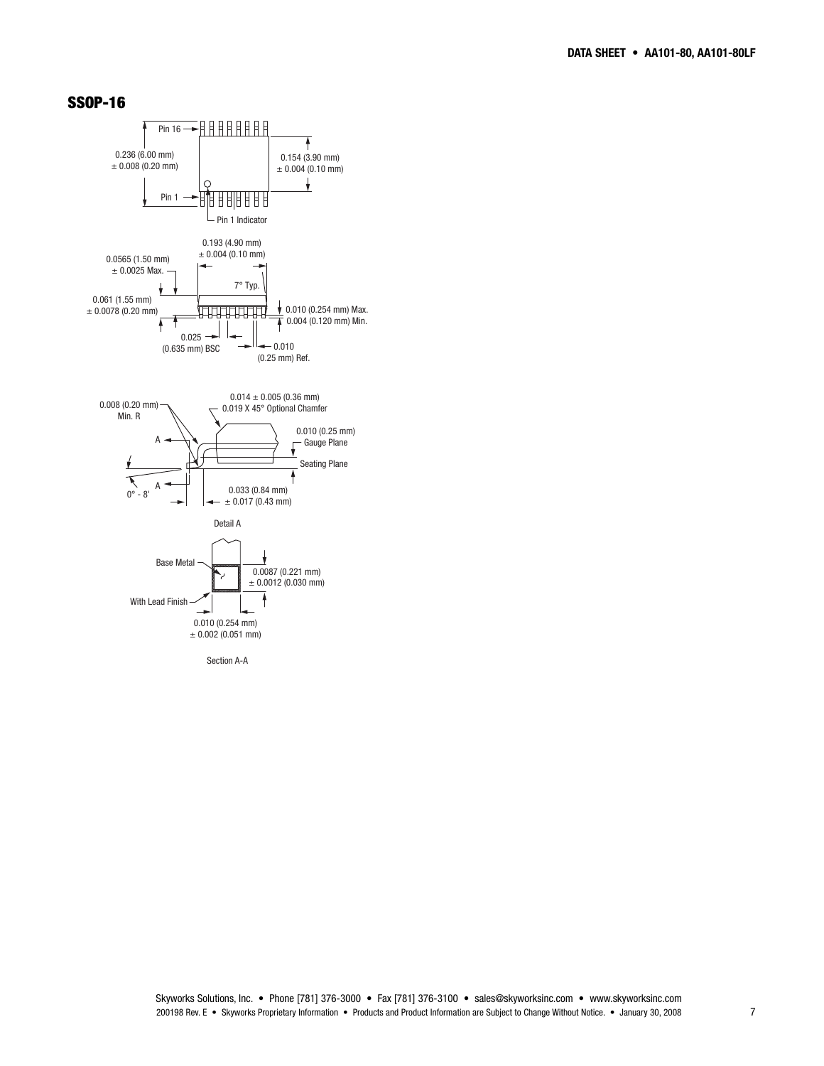